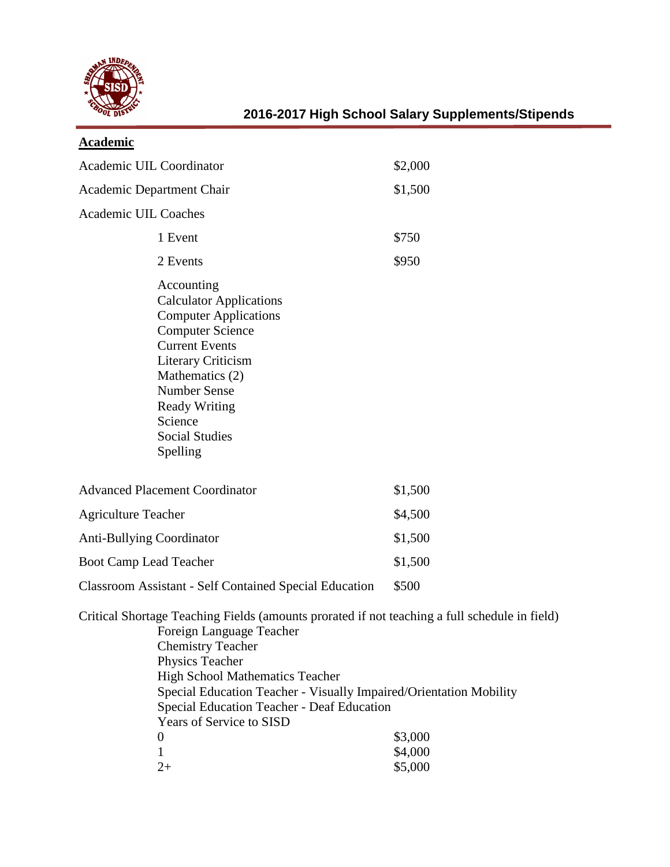

| <b>Academic</b>                                                                                                                                                                                                                                                                                                                                                                                                                      |         |  |
|--------------------------------------------------------------------------------------------------------------------------------------------------------------------------------------------------------------------------------------------------------------------------------------------------------------------------------------------------------------------------------------------------------------------------------------|---------|--|
| Academic UIL Coordinator                                                                                                                                                                                                                                                                                                                                                                                                             | \$2,000 |  |
| Academic Department Chair                                                                                                                                                                                                                                                                                                                                                                                                            | \$1,500 |  |
| <b>Academic UIL Coaches</b>                                                                                                                                                                                                                                                                                                                                                                                                          |         |  |
| 1 Event                                                                                                                                                                                                                                                                                                                                                                                                                              | \$750   |  |
| 2 Events                                                                                                                                                                                                                                                                                                                                                                                                                             | \$950   |  |
| Accounting<br><b>Calculator Applications</b><br><b>Computer Applications</b><br><b>Computer Science</b><br><b>Current Events</b><br><b>Literary Criticism</b><br>Mathematics (2)<br><b>Number Sense</b><br><b>Ready Writing</b><br>Science<br><b>Social Studies</b><br>Spelling                                                                                                                                                      |         |  |
| <b>Advanced Placement Coordinator</b>                                                                                                                                                                                                                                                                                                                                                                                                | \$1,500 |  |
| <b>Agriculture Teacher</b>                                                                                                                                                                                                                                                                                                                                                                                                           | \$4,500 |  |
| <b>Anti-Bullying Coordinator</b>                                                                                                                                                                                                                                                                                                                                                                                                     | \$1,500 |  |
| Boot Camp Lead Teacher                                                                                                                                                                                                                                                                                                                                                                                                               | \$1,500 |  |
| <b>Classroom Assistant - Self Contained Special Education</b>                                                                                                                                                                                                                                                                                                                                                                        | \$500   |  |
| Critical Shortage Teaching Fields (amounts prorated if not teaching a full schedule in field)<br>Foreign Language Teacher<br><b>Chemistry Teacher</b><br>Physics Teacher<br><b>High School Mathematics Teacher</b><br>Special Education Teacher - Visually Impaired/Orientation Mobility<br>Special Education Teacher - Deaf Education<br>Years of Service to SISD<br>\$3,000<br>$\boldsymbol{0}$<br>\$4,000<br>1<br>$2+$<br>\$5,000 |         |  |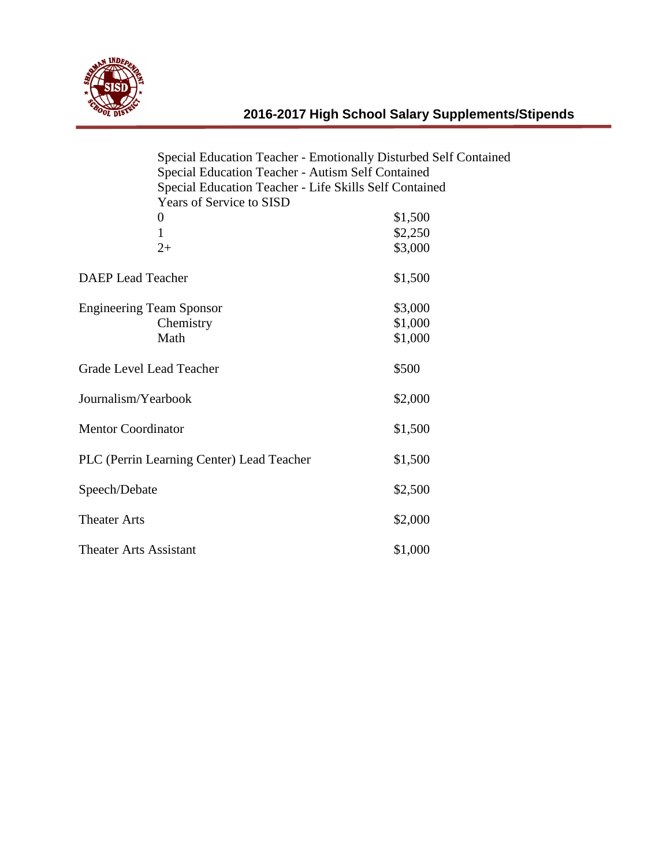

|                                 | Special Education Teacher - Emotionally Disturbed Self Contained<br>Special Education Teacher - Autism Self Contained |                                                        |  |
|---------------------------------|-----------------------------------------------------------------------------------------------------------------------|--------------------------------------------------------|--|
|                                 |                                                                                                                       |                                                        |  |
|                                 |                                                                                                                       | Special Education Teacher - Life Skills Self Contained |  |
|                                 | <b>Years of Service to SISD</b>                                                                                       |                                                        |  |
|                                 | $\boldsymbol{0}$                                                                                                      | \$1,500                                                |  |
|                                 | $\mathbf{1}$                                                                                                          | \$2,250                                                |  |
|                                 | $2+$                                                                                                                  | \$3,000                                                |  |
| <b>DAEP</b> Lead Teacher        |                                                                                                                       | \$1,500                                                |  |
| <b>Engineering Team Sponsor</b> |                                                                                                                       | \$3,000                                                |  |
|                                 | Chemistry                                                                                                             | \$1,000                                                |  |
|                                 | Math                                                                                                                  | \$1,000                                                |  |
| Grade Level Lead Teacher        |                                                                                                                       | \$500                                                  |  |
| Journalism/Yearbook             |                                                                                                                       | \$2,000                                                |  |
| <b>Mentor Coordinator</b>       |                                                                                                                       | \$1,500                                                |  |
|                                 | PLC (Perrin Learning Center) Lead Teacher                                                                             | \$1,500                                                |  |
| Speech/Debate                   |                                                                                                                       | \$2,500                                                |  |
| <b>Theater Arts</b>             |                                                                                                                       | \$2,000                                                |  |
| <b>Theater Arts Assistant</b>   |                                                                                                                       | \$1,000                                                |  |
|                                 |                                                                                                                       |                                                        |  |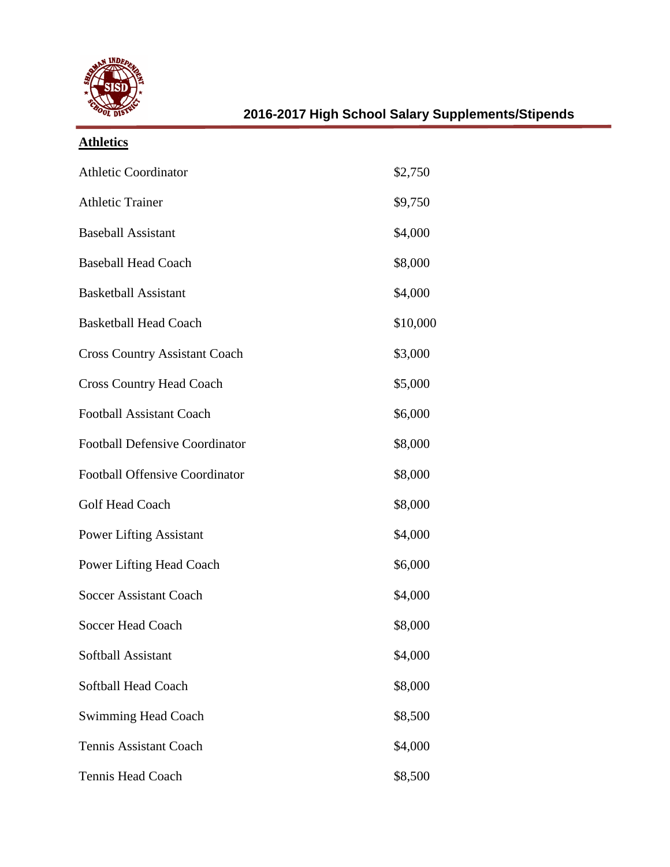

| <b>Athletics</b>                      |          |
|---------------------------------------|----------|
| <b>Athletic Coordinator</b>           | \$2,750  |
| <b>Athletic Trainer</b>               | \$9,750  |
| <b>Baseball Assistant</b>             | \$4,000  |
| <b>Baseball Head Coach</b>            | \$8,000  |
| <b>Basketball Assistant</b>           | \$4,000  |
| <b>Basketball Head Coach</b>          | \$10,000 |
| <b>Cross Country Assistant Coach</b>  | \$3,000  |
| <b>Cross Country Head Coach</b>       | \$5,000  |
| <b>Football Assistant Coach</b>       | \$6,000  |
| <b>Football Defensive Coordinator</b> | \$8,000  |
| <b>Football Offensive Coordinator</b> | \$8,000  |
| <b>Golf Head Coach</b>                | \$8,000  |
| <b>Power Lifting Assistant</b>        | \$4,000  |
| <b>Power Lifting Head Coach</b>       | \$6,000  |
| <b>Soccer Assistant Coach</b>         | \$4,000  |
| <b>Soccer Head Coach</b>              | \$8,000  |
| Softball Assistant                    | \$4,000  |
| Softball Head Coach                   | \$8,000  |
| <b>Swimming Head Coach</b>            | \$8,500  |
| <b>Tennis Assistant Coach</b>         | \$4,000  |
| <b>Tennis Head Coach</b>              | \$8,500  |